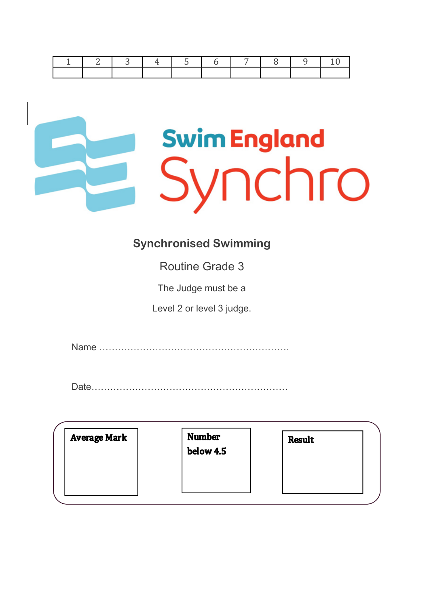|  | $\overline{3}$ |  |  |  |  |
|--|----------------|--|--|--|--|
|  |                |  |  |  |  |

# **Swim England** Synchro

#### **Synchronised Swimming**

Routine Grade 3

The Judge must be a

Level 2 or level 3 judge.

Name …………………………………………………….

Date………………………………………………………

| <b>Average Mark</b> | <b>Number</b><br>below 4.5 | <b>Result</b> |  |
|---------------------|----------------------------|---------------|--|
|---------------------|----------------------------|---------------|--|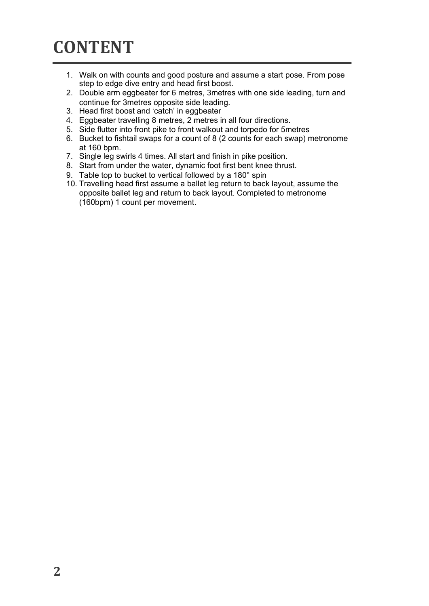#### **CONTENT**

- 1. Walk on with counts and good posture and assume a start pose. From pose step to edge dive entry and head first boost.
- 2. Double arm eggbeater for 6 metres, 3metres with one side leading, turn and continue for 3metres opposite side leading.
- 3. Head first boost and 'catch' in eggbeater
- 4. Eggbeater travelling 8 metres, 2 metres in all four directions.
- 5. Side flutter into front pike to front walkout and torpedo for 5metres
- 6. Bucket to fishtail swaps for a count of 8 (2 counts for each swap) metronome at 160 bpm.
- 7. Single leg swirls 4 times. All start and finish in pike position.
- 8. Start from under the water, dynamic foot first bent knee thrust.
- 9. Table top to bucket to vertical followed by a 180° spin
- 10. Travelling head first assume a ballet leg return to back layout, assume the opposite ballet leg and return to back layout. Completed to metronome (160bpm) 1 count per movement.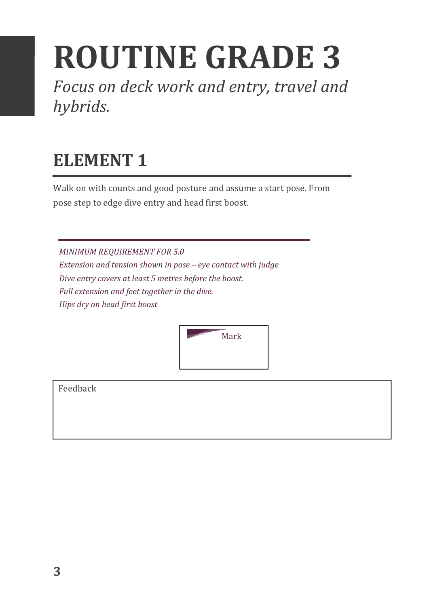## **ROUTINE GRADE 3**

Focus on deck work and entry, travel and *hybrids.*

### **ELEMENT 1**

Walk on with counts and good posture and assume a start pose. From pose step to edge dive entry and head first boost.

**MINIMUM REQUIREMENT FOR 5.0** *Extension and tension shown in pose – eye contact with judge* Dive entry covers at least 5 metres before the boost. *Full extension and feet together in the dive. Hips dry on head first boost* 

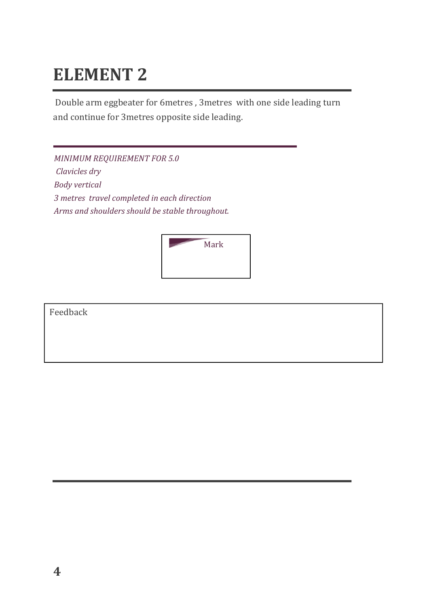Double arm eggbeater for 6metres, 3metres with one side leading turn and continue for 3metres opposite side leading.

*MINIMUM REQUIREMENT FOR 5.0 Clavicles dry Body vertical 3 metres travel completed in each direction* Arms and shoulders should be stable throughout.

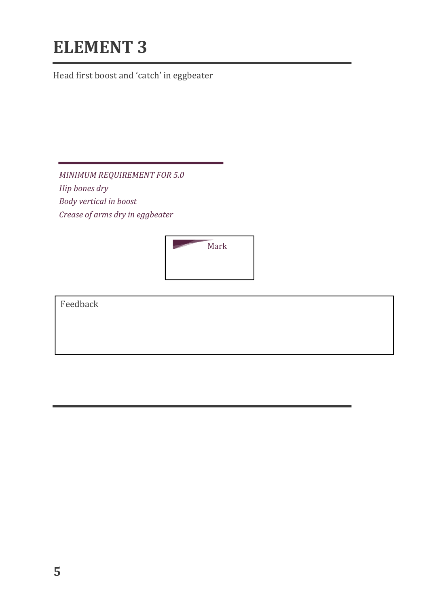Head first boost and 'catch' in eggbeater

*MINIMUM REQUIREMENT FOR 5.0 Hip bones dry*  **Body** vertical in boost *Crease of arms dry in eggbeater*

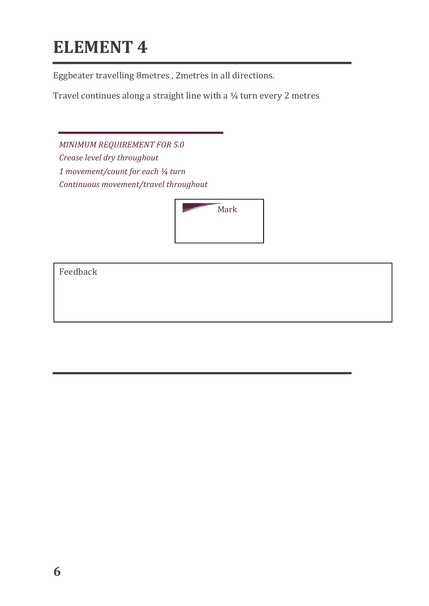Eggbeater travelling 8metres, 2metres in all directions.

Travel continues along a straight line with a  $\frac{1}{4}$  turn every 2 metres

*MINIMUM REQUIREMENT FOR 5.0 Crease level dry throughout 1* movement/count for each  $\frac{1}{4}$  turn *Continuous movement/travel throughout*

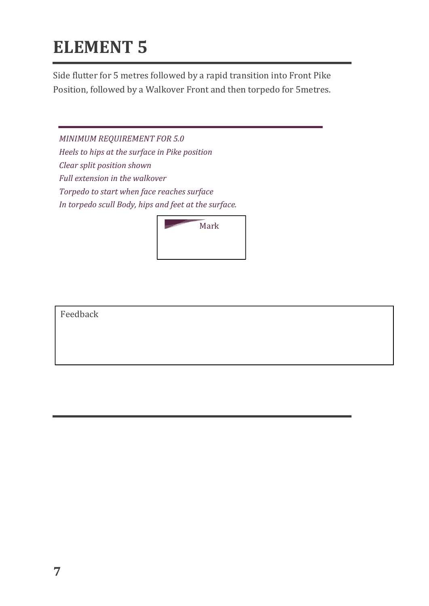Side flutter for 5 metres followed by a rapid transition into Front Pike Position, followed by a Walkover Front and then torpedo for 5metres.

*MINIMUM REQUIREMENT FOR 5.0 Heels to hips at the surface in Pike position Clear split position shown Full extension in the walkover Torpedo to start when face reaches surface*  In torpedo scull Body, hips and feet at the surface.

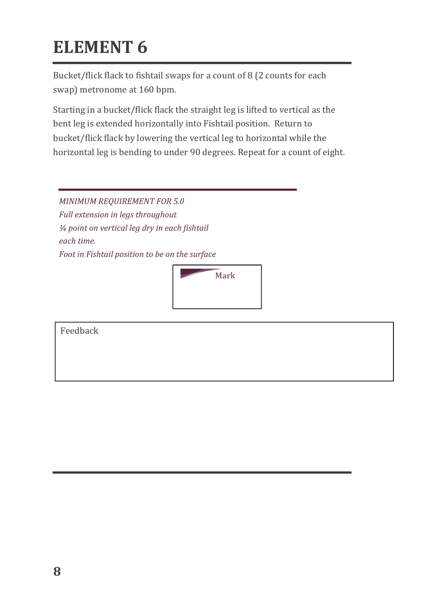Bucket/flick flack to fishtail swaps for a count of 8 (2 counts for each swap) metronome at 160 bpm.

Starting in a bucket/flick flack the straight leg is lifted to vertical as the bent leg is extended horizontally into Fishtail position. Return to bucket/flick flack by lowering the vertical leg to horizontal while the horizontal leg is bending to under 90 degrees. Repeat for a count of eight.

*MINIMUM REQUIREMENT FOR 5.0 Full extension in legs throughout*  $\frac{1}{4}$  point on vertical leg dry in each fishtail *each time.* Foot in Fishtail position to be on the surface

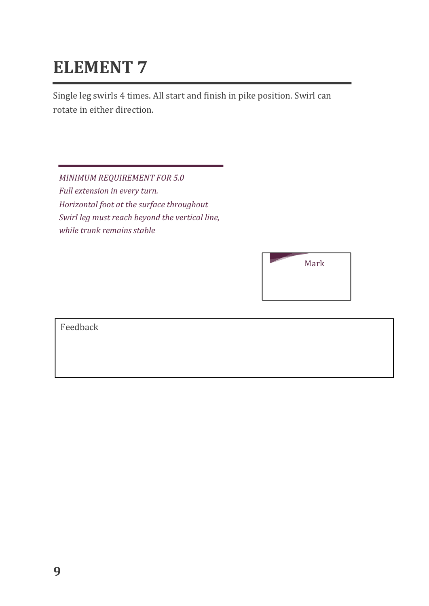Single leg swirls 4 times. All start and finish in pike position. Swirl can rotate in either direction.

**MINIMUM REQUIREMENT FOR 5.0** *Full extension in every turn. Horizontal foot at the surface throughout* Swirl leg must reach beyond the vertical line, *while trunk remains stable* 

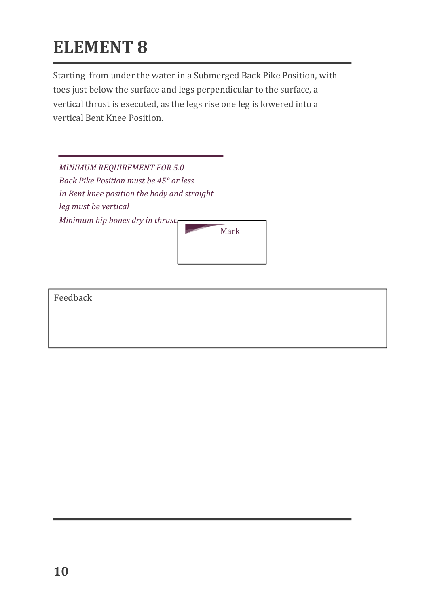Starting from under the water in a Submerged Back Pike Position, with toes just below the surface and legs perpendicular to the surface, a vertical thrust is executed, as the legs rise one leg is lowered into a vertical Bent Knee Position.

| <b>MINIMUM REQUIREMENT FOR 5.0</b>          |      |  |  |  |  |
|---------------------------------------------|------|--|--|--|--|
| Back Pike Position must be 45° or less      |      |  |  |  |  |
| In Bent knee position the body and straight |      |  |  |  |  |
| leg must be vertical                        |      |  |  |  |  |
| Minimum hip bones dry in thrust.            | Mark |  |  |  |  |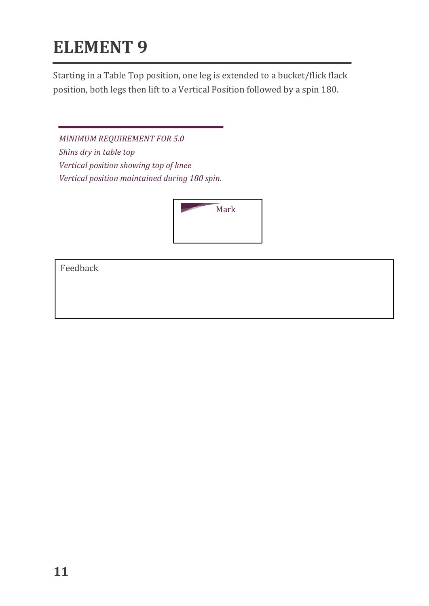Starting in a Table Top position, one leg is extended to a bucket/flick flack position, both legs then lift to a Vertical Position followed by a spin 180.

*MINIMUM REQUIREMENT FOR 5.0* Shins dry in table top *Vertical position showing top of knee Vertical position maintained during 180 spin.*